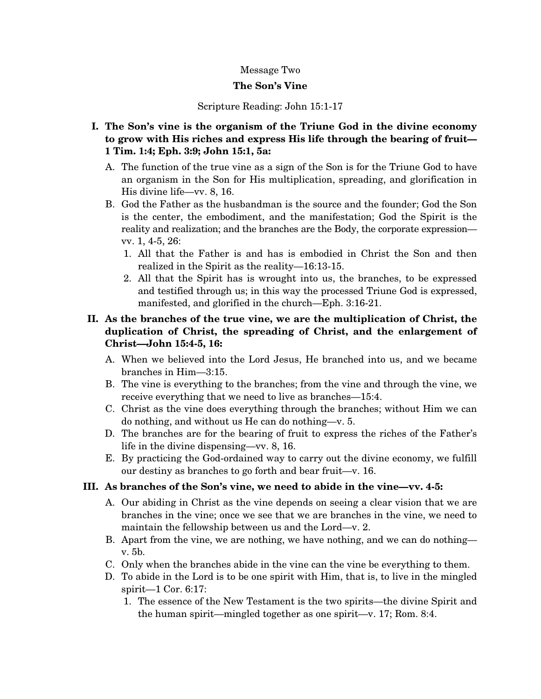### Message Two

### **The Son's Vine**

Scripture Reading: John 15:1-17

- **I. The Son's vine is the organism of the Triune God in the divine economy to grow with His riches and express His life through the bearing of fruit— 1 Tim. 1:4; Eph. 3:9; John 15:1, 5a:** 
	- A. The function of the true vine as a sign of the Son is for the Triune God to have an organism in the Son for His multiplication, spreading, and glorification in His divine life—vv. 8, 16.
	- B. God the Father as the husbandman is the source and the founder; God the Son is the center, the embodiment, and the manifestation; God the Spirit is the reality and realization; and the branches are the Body, the corporate expression vv. 1, 4-5, 26:
		- 1. All that the Father is and has is embodied in Christ the Son and then realized in the Spirit as the reality—16:13-15.
		- 2. All that the Spirit has is wrought into us, the branches, to be expressed and testified through us; in this way the processed Triune God is expressed, manifested, and glorified in the church—Eph. 3:16-21.

# **II. As the branches of the true vine, we are the multiplication of Christ, the duplication of Christ, the spreading of Christ, and the enlargement of Christ—John 15:4-5, 16:**

- A. When we believed into the Lord Jesus, He branched into us, and we became branches in Him—3:15.
- B. The vine is everything to the branches; from the vine and through the vine, we receive everything that we need to live as branches—15:4.
- C. Christ as the vine does everything through the branches; without Him we can do nothing, and without us He can do nothing—v. 5.
- D. The branches are for the bearing of fruit to express the riches of the Father's life in the divine dispensing—vv. 8, 16.
- E. By practicing the God-ordained way to carry out the divine economy, we fulfill our destiny as branches to go forth and bear fruit—v. 16.

### **III. As branches of the Son's vine, we need to abide in the vine—vv. 4-5:**

- A. Our abiding in Christ as the vine depends on seeing a clear vision that we are branches in the vine; once we see that we are branches in the vine, we need to maintain the fellowship between us and the Lord—v. 2.
- B. Apart from the vine, we are nothing, we have nothing, and we can do nothing v. 5b.
- C. Only when the branches abide in the vine can the vine be everything to them.
- D. To abide in the Lord is to be one spirit with Him, that is, to live in the mingled spirit—1 Cor. 6:17:
	- 1. The essence of the New Testament is the two spirits—the divine Spirit and the human spirit—mingled together as one spirit—v. 17; Rom. 8:4.